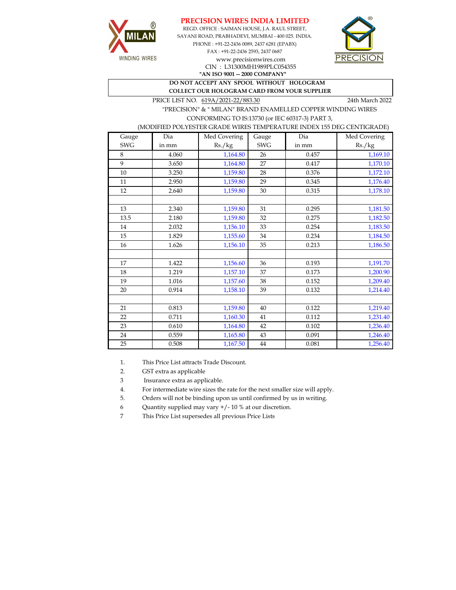





CIN : L31300MH1989PLC054355

**"AN ISO 9001 -- 2000 COMPANY"**

**DO NOT ACCEPT ANY SPOOL WITHOUT HOLOGRAM COLLECT OUR HOLOGRAM CARD FROM YOUR SUPPLIER** 

PRICE LIST NO. 619A/2021-22/883.30 24th March 2022

 "PRECISION" & " MILAN" BRAND ENAMELLED COPPER WINDING WIRES CONFORMING TO IS:13730 (or IEC 60317-3) PART 3,

## (MODIFIED POLYESTER GRADE WIRES TEMPERATURE INDEX 155 DEG CENTIGRADE)

| Gauge      | Dia   | Med Covering | Gauge      | Dia   | Med Covering |
|------------|-------|--------------|------------|-------|--------------|
| <b>SWG</b> | in mm | Rs./kg       | <b>SWG</b> | in mm | Rs./kg       |
| 8          | 4.060 | 1,164.80     | 26         | 0.457 | 1,169.10     |
| 9          | 3.650 | 1,164.80     | 27         | 0.417 | 1,170.10     |
| $10\,$     | 3.250 | 1,159.80     | 28         | 0.376 | 1,172.10     |
| 11         | 2.950 | 1,159.80     | 29         | 0.345 | 1,176.40     |
| 12         | 2.640 | 1,159.80     | 30         | 0.315 | 1,178.10     |
|            |       |              |            |       |              |
| 13         | 2.340 | 1,159.80     | 31         | 0.295 | 1,181.50     |
| 13.5       | 2.180 | 1,159.80     | 32         | 0.275 | 1,182.50     |
| 14         | 2.032 | 1,156.10     | 33         | 0.254 | 1,183.50     |
| 15         | 1.829 | 1,155.60     | 34         | 0.234 | 1,184.50     |
| 16         | 1.626 | 1,156.10     | 35         | 0.213 | 1,186.50     |
|            |       |              |            |       |              |
| 17         | 1.422 | 1,156.60     | 36         | 0.193 | 1,191.70     |
| 18         | 1.219 | 1,157.10     | 37         | 0.173 | 1,200.90     |
| 19         | 1.016 | 1,157.60     | 38         | 0.152 | 1,209.40     |
| 20         | 0.914 | 1,158.10     | 39         | 0.132 | 1,214.40     |
|            |       |              |            |       |              |
| 21         | 0.813 | 1,159.80     | 40         | 0.122 | 1,219.40     |
| 22         | 0.711 | 1,160.30     | 41         | 0.112 | 1,231.40     |
| 23         | 0.610 | 1,164.80     | 42         | 0.102 | 1,236.40     |
| 24         | 0.559 | 1,165.80     | 43         | 0.091 | 1,246.40     |
| 25         | 0.508 | 1,167.50     | 44         | 0.081 | 1,256.40     |

1. This Price List attracts Trade Discount.

2. GST extra as applicable

3 Insurance extra as applicable.

4. For intermediate wire sizes the rate for the next smaller size will apply.

5. Orders will not be binding upon us until confirmed by us in writing.

6 Quantity supplied may vary +/- 10 % at our discretion.

7 This Price List supersedes all previous Price Lists